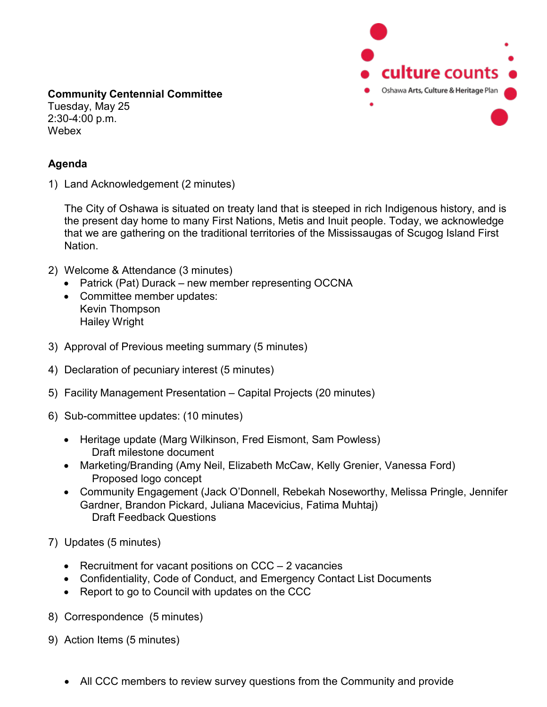

**Community Centennial Committee** Tuesday, May 25 2:30-4:00 p.m. **Webex** 

## **Agenda**

1) Land Acknowledgement (2 minutes)

The City of Oshawa is situated on treaty land that is steeped in rich Indigenous history, and is the present day home to many First Nations, Metis and Inuit people. Today, we acknowledge that we are gathering on the traditional territories of the Mississaugas of Scugog Island First Nation.

- 2) Welcome & Attendance (3 minutes)
	- Patrick (Pat) Durack new member representing OCCNA
	- Committee member updates: Kevin Thompson Hailey Wright
- 3) Approval of Previous meeting summary (5 minutes)
- 4) Declaration of pecuniary interest (5 minutes)
- 5) Facility Management Presentation Capital Projects (20 minutes)
- 6) Sub-committee updates: (10 minutes)
	- Heritage update (Marg Wilkinson, Fred Eismont, Sam Powless) Draft milestone document
	- Marketing/Branding (Amy Neil, Elizabeth McCaw, Kelly Grenier, Vanessa Ford) Proposed logo concept
	- Community Engagement (Jack O'Donnell, Rebekah Noseworthy, Melissa Pringle, Jennifer Gardner, Brandon Pickard, Juliana Macevicius, Fatima Muhtaj) Draft Feedback Questions
- 7) Updates (5 minutes)
	- Recruitment for vacant positions on CCC 2 vacancies
	- Confidentiality, Code of Conduct, and Emergency Contact List Documents
	- Report to go to Council with updates on the CCC
- 8) Correspondence (5 minutes)
- 9) Action Items (5 minutes)
	- All CCC members to review survey questions from the Community and provide